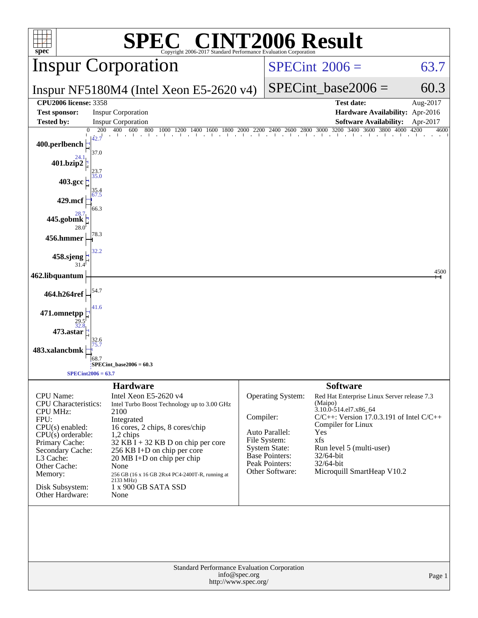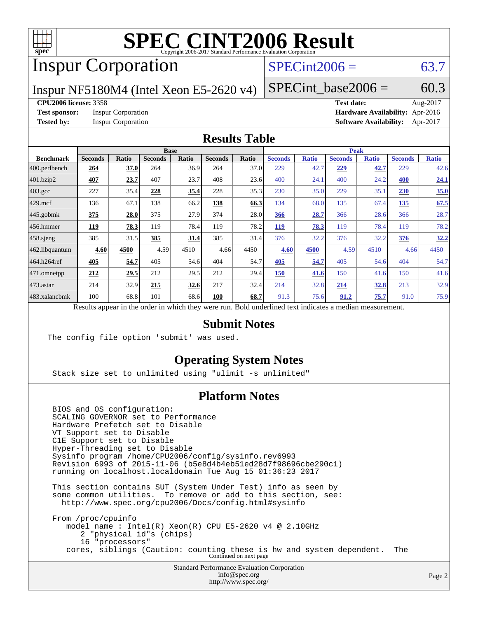

# Inspur Corporation

## $SPECint2006 = 63.7$  $SPECint2006 = 63.7$

Inspur NF5180M4 (Intel Xeon E5-2620 v4)

SPECint base2006 =  $60.3$ 

### **[CPU2006 license:](http://www.spec.org/auto/cpu2006/Docs/result-fields.html#CPU2006license)** 3358 **[Test date:](http://www.spec.org/auto/cpu2006/Docs/result-fields.html#Testdate)** Aug-2017

**[Test sponsor:](http://www.spec.org/auto/cpu2006/Docs/result-fields.html#Testsponsor)** Inspur Corporation **[Hardware Availability:](http://www.spec.org/auto/cpu2006/Docs/result-fields.html#HardwareAvailability)** Apr-2016 **[Tested by:](http://www.spec.org/auto/cpu2006/Docs/result-fields.html#Testedby)** Inspur Corporation **[Software Availability:](http://www.spec.org/auto/cpu2006/Docs/result-fields.html#SoftwareAvailability)** Apr-2017

### **[Results Table](http://www.spec.org/auto/cpu2006/Docs/result-fields.html#ResultsTable)**

|                                                                                                          |                |       | <b>Base</b>    |       | <b>Peak</b>    |       |                |              |                |              |                |              |
|----------------------------------------------------------------------------------------------------------|----------------|-------|----------------|-------|----------------|-------|----------------|--------------|----------------|--------------|----------------|--------------|
| <b>Benchmark</b>                                                                                         | <b>Seconds</b> | Ratio | <b>Seconds</b> | Ratio | <b>Seconds</b> | Ratio | <b>Seconds</b> | <b>Ratio</b> | <b>Seconds</b> | <b>Ratio</b> | <b>Seconds</b> | <b>Ratio</b> |
| 400.perlbench                                                                                            | 264            | 37.0  | 264            | 36.9  | 264            | 37.0  | 229            | 42.7         | 229            | 42.7         | 229            | 42.6         |
| 401.bzip2                                                                                                | 407            | 23.7  | 407            | 23.7  | 408            | 23.6  | 400            | 24.1         | 400            | 24.2         | 400            | 24.1         |
| $403.\mathrm{gcc}$                                                                                       | 227            | 35.4  | 228            | 35.4  | 228            | 35.3  | 230            | 35.0         | 229            | 35.1         | 230            | 35.0         |
| $429$ .mcf                                                                                               | 136            | 67.1  | 138            | 66.2  | 138            | 66.3  | 134            | 68.0         | 135            | 67.4         | 135            | 67.5         |
| $445$ .gobmk                                                                                             | 375            | 28.0  | 375            | 27.9  | 374            | 28.0  | 366            | 28.7         | 366            | 28.6         | 366            | 28.7         |
| 456.hmmer                                                                                                | 119            | 78.3  | 119            | 78.4  | 119            | 78.2  | 119            | 78.3         | 119            | 78.4         | 119            | 78.2         |
| $458$ .sjeng                                                                                             | 385            | 31.5  | 385            | 31.4  | 385            | 31.4  | 376            | 32.2         | 376            | 32.2         | 376            | 32.2         |
| 462.libquantum                                                                                           | 4.60           | 4500  | 4.59           | 4510  | 4.66           | 4450  | 4.60           | 4500         | 4.59           | 4510         | 4.66           | 4450         |
| 464.h264ref                                                                                              | 405            | 54.7  | 405            | 54.6  | 404            | 54.7  | 405            | 54.7         | 405            | 54.6         | 404            | 54.7         |
| $ 471$ .omnetpp                                                                                          | 212            | 29.5  | 212            | 29.5  | 212            | 29.4  | 150            | 41.6         | 150            | 41.6         | 150            | 41.6         |
| 473.astar                                                                                                | 214            | 32.9  | 215            | 32.6  | 217            | 32.4  | 214            | 32.8         | 214            | 32.8         | 213            | 32.9         |
| 483.xalancbmk                                                                                            | 100            | 68.8  | 101            | 68.6  | 100            | 68.7  | 91.3           | 75.6         | 91.2           | 75.7         | 91.0           | 75.9         |
| Results appear in the order in which they were run. Bold underlined text indicates a median measurement. |                |       |                |       |                |       |                |              |                |              |                |              |

### **[Submit Notes](http://www.spec.org/auto/cpu2006/Docs/result-fields.html#SubmitNotes)**

The config file option 'submit' was used.

### **[Operating System Notes](http://www.spec.org/auto/cpu2006/Docs/result-fields.html#OperatingSystemNotes)**

Stack size set to unlimited using "ulimit -s unlimited"

### **[Platform Notes](http://www.spec.org/auto/cpu2006/Docs/result-fields.html#PlatformNotes)**

 BIOS and OS configuration: SCALING\_GOVERNOR set to Performance Hardware Prefetch set to Disable VT Support set to Disable C1E Support set to Disable Hyper-Threading set to Disable Sysinfo program /home/CPU2006/config/sysinfo.rev6993 Revision 6993 of 2015-11-06 (b5e8d4b4eb51ed28d7f98696cbe290c1) running on localhost.localdomain Tue Aug 15 01:36:23 2017

 This section contains SUT (System Under Test) info as seen by some common utilities. To remove or add to this section, see: <http://www.spec.org/cpu2006/Docs/config.html#sysinfo>

 From /proc/cpuinfo model name : Intel(R) Xeon(R) CPU E5-2620 v4 @ 2.10GHz 2 "physical id"s (chips) 16 "processors" cores, siblings (Caution: counting these is hw and system dependent. The Continued on next page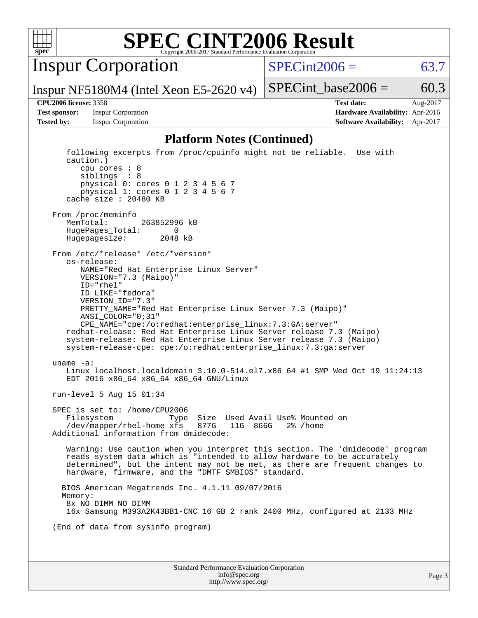

Inspur Corporation

 $SPECint2006 = 63.7$  $SPECint2006 = 63.7$ 

Inspur NF5180M4 (Intel Xeon E5-2620 v4)

**[Tested by:](http://www.spec.org/auto/cpu2006/Docs/result-fields.html#Testedby)** Inspur Corporation **[Software Availability:](http://www.spec.org/auto/cpu2006/Docs/result-fields.html#SoftwareAvailability)** Apr-2017

**[CPU2006 license:](http://www.spec.org/auto/cpu2006/Docs/result-fields.html#CPU2006license)** 3358 **[Test date:](http://www.spec.org/auto/cpu2006/Docs/result-fields.html#Testdate)** Aug-2017 **[Test sponsor:](http://www.spec.org/auto/cpu2006/Docs/result-fields.html#Testsponsor)** Inspur Corporation **[Hardware Availability:](http://www.spec.org/auto/cpu2006/Docs/result-fields.html#HardwareAvailability)** Apr-2016

SPECint base2006 =  $60.3$ 

### **[Platform Notes \(Continued\)](http://www.spec.org/auto/cpu2006/Docs/result-fields.html#PlatformNotes)**

Standard Performance Evaluation Corporation [info@spec.org](mailto:info@spec.org) <http://www.spec.org/> Page 3 following excerpts from /proc/cpuinfo might not be reliable. Use with caution.) cpu cores : 8 siblings : 8 physical 0: cores 0 1 2 3 4 5 6 7 physical 1: cores 0 1 2 3 4 5 6 7 cache size : 20480 KB From /proc/meminfo MemTotal: 263852996 kB HugePages\_Total: 0 Hugepagesize: 2048 kB From /etc/\*release\* /etc/\*version\* os-release: NAME="Red Hat Enterprise Linux Server" VERSION="7.3 (Maipo)" ID="rhel" ID\_LIKE="fedora" VERSION\_ID="7.3" PRETTY\_NAME="Red Hat Enterprise Linux Server 7.3 (Maipo)" ANSI\_COLOR="0;31" CPE\_NAME="cpe:/o:redhat:enterprise\_linux:7.3:GA:server" redhat-release: Red Hat Enterprise Linux Server release 7.3 (Maipo) system-release: Red Hat Enterprise Linux Server release 7.3 (Maipo) system-release-cpe: cpe:/o:redhat:enterprise\_linux:7.3:ga:server uname -a: Linux localhost.localdomain 3.10.0-514.el7.x86\_64 #1 SMP Wed Oct 19 11:24:13 EDT 2016 x86\_64 x86\_64 x86\_64 GNU/Linux run-level 5 Aug 15 01:34 SPEC is set to: /home/CPU2006 Filesystem Type Size Used Avail Use% Mounted on /dev/mapper/rhel-home xfs 877G 11G 866G 2% /home Additional information from dmidecode: Warning: Use caution when you interpret this section. The 'dmidecode' program reads system data which is "intended to allow hardware to be accurately determined", but the intent may not be met, as there are frequent changes to hardware, firmware, and the "DMTF SMBIOS" standard. BIOS American Megatrends Inc. 4.1.11 09/07/2016 Memory: 8x NO DIMM NO DIMM 16x Samsung M393A2K43BB1-CNC 16 GB 2 rank 2400 MHz, configured at 2133 MHz (End of data from sysinfo program)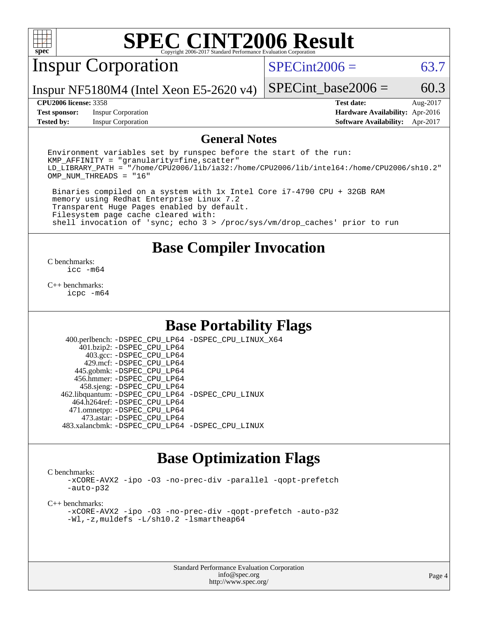

# Inspur Corporation

 $SPECint2006 = 63.7$  $SPECint2006 = 63.7$ 

Inspur NF5180M4 (Intel Xeon E5-2620 v4)

**[Test sponsor:](http://www.spec.org/auto/cpu2006/Docs/result-fields.html#Testsponsor)** Inspur Corporation **[Hardware Availability:](http://www.spec.org/auto/cpu2006/Docs/result-fields.html#HardwareAvailability)** Apr-2016

SPECint base2006 =  $60.3$ **[CPU2006 license:](http://www.spec.org/auto/cpu2006/Docs/result-fields.html#CPU2006license)** 3358 **[Test date:](http://www.spec.org/auto/cpu2006/Docs/result-fields.html#Testdate)** Aug-2017

**[Tested by:](http://www.spec.org/auto/cpu2006/Docs/result-fields.html#Testedby)** Inspur Corporation **[Software Availability:](http://www.spec.org/auto/cpu2006/Docs/result-fields.html#SoftwareAvailability)** Apr-2017

### **[General Notes](http://www.spec.org/auto/cpu2006/Docs/result-fields.html#GeneralNotes)**

Environment variables set by runspec before the start of the run:  $KMP$  AFFINITY = "granularity=fine, scatter" LD\_LIBRARY\_PATH = "/home/CPU2006/lib/ia32:/home/CPU2006/lib/intel64:/home/CPU2006/sh10.2" OMP\_NUM\_THREADS = "16"

 Binaries compiled on a system with 1x Intel Core i7-4790 CPU + 32GB RAM memory using Redhat Enterprise Linux 7.2 Transparent Huge Pages enabled by default. Filesystem page cache cleared with: shell invocation of 'sync; echo 3 > /proc/sys/vm/drop\_caches' prior to run

## **[Base Compiler Invocation](http://www.spec.org/auto/cpu2006/Docs/result-fields.html#BaseCompilerInvocation)**

[C benchmarks](http://www.spec.org/auto/cpu2006/Docs/result-fields.html#Cbenchmarks): [icc -m64](http://www.spec.org/cpu2006/results/res2017q4/cpu2006-20170911-49332.flags.html#user_CCbase_intel_icc_64bit_bda6cc9af1fdbb0edc3795bac97ada53)

[C++ benchmarks:](http://www.spec.org/auto/cpu2006/Docs/result-fields.html#CXXbenchmarks) [icpc -m64](http://www.spec.org/cpu2006/results/res2017q4/cpu2006-20170911-49332.flags.html#user_CXXbase_intel_icpc_64bit_fc66a5337ce925472a5c54ad6a0de310)

## **[Base Portability Flags](http://www.spec.org/auto/cpu2006/Docs/result-fields.html#BasePortabilityFlags)**

 400.perlbench: [-DSPEC\\_CPU\\_LP64](http://www.spec.org/cpu2006/results/res2017q4/cpu2006-20170911-49332.flags.html#b400.perlbench_basePORTABILITY_DSPEC_CPU_LP64) [-DSPEC\\_CPU\\_LINUX\\_X64](http://www.spec.org/cpu2006/results/res2017q4/cpu2006-20170911-49332.flags.html#b400.perlbench_baseCPORTABILITY_DSPEC_CPU_LINUX_X64) 401.bzip2: [-DSPEC\\_CPU\\_LP64](http://www.spec.org/cpu2006/results/res2017q4/cpu2006-20170911-49332.flags.html#suite_basePORTABILITY401_bzip2_DSPEC_CPU_LP64) 403.gcc: [-DSPEC\\_CPU\\_LP64](http://www.spec.org/cpu2006/results/res2017q4/cpu2006-20170911-49332.flags.html#suite_basePORTABILITY403_gcc_DSPEC_CPU_LP64) 429.mcf: [-DSPEC\\_CPU\\_LP64](http://www.spec.org/cpu2006/results/res2017q4/cpu2006-20170911-49332.flags.html#suite_basePORTABILITY429_mcf_DSPEC_CPU_LP64) 445.gobmk: [-DSPEC\\_CPU\\_LP64](http://www.spec.org/cpu2006/results/res2017q4/cpu2006-20170911-49332.flags.html#suite_basePORTABILITY445_gobmk_DSPEC_CPU_LP64) 456.hmmer: [-DSPEC\\_CPU\\_LP64](http://www.spec.org/cpu2006/results/res2017q4/cpu2006-20170911-49332.flags.html#suite_basePORTABILITY456_hmmer_DSPEC_CPU_LP64) 458.sjeng: [-DSPEC\\_CPU\\_LP64](http://www.spec.org/cpu2006/results/res2017q4/cpu2006-20170911-49332.flags.html#suite_basePORTABILITY458_sjeng_DSPEC_CPU_LP64) 462.libquantum: [-DSPEC\\_CPU\\_LP64](http://www.spec.org/cpu2006/results/res2017q4/cpu2006-20170911-49332.flags.html#suite_basePORTABILITY462_libquantum_DSPEC_CPU_LP64) [-DSPEC\\_CPU\\_LINUX](http://www.spec.org/cpu2006/results/res2017q4/cpu2006-20170911-49332.flags.html#b462.libquantum_baseCPORTABILITY_DSPEC_CPU_LINUX) 464.h264ref: [-DSPEC\\_CPU\\_LP64](http://www.spec.org/cpu2006/results/res2017q4/cpu2006-20170911-49332.flags.html#suite_basePORTABILITY464_h264ref_DSPEC_CPU_LP64) 471.omnetpp: [-DSPEC\\_CPU\\_LP64](http://www.spec.org/cpu2006/results/res2017q4/cpu2006-20170911-49332.flags.html#suite_basePORTABILITY471_omnetpp_DSPEC_CPU_LP64) 473.astar: [-DSPEC\\_CPU\\_LP64](http://www.spec.org/cpu2006/results/res2017q4/cpu2006-20170911-49332.flags.html#suite_basePORTABILITY473_astar_DSPEC_CPU_LP64) 483.xalancbmk: [-DSPEC\\_CPU\\_LP64](http://www.spec.org/cpu2006/results/res2017q4/cpu2006-20170911-49332.flags.html#suite_basePORTABILITY483_xalancbmk_DSPEC_CPU_LP64) [-DSPEC\\_CPU\\_LINUX](http://www.spec.org/cpu2006/results/res2017q4/cpu2006-20170911-49332.flags.html#b483.xalancbmk_baseCXXPORTABILITY_DSPEC_CPU_LINUX)

## **[Base Optimization Flags](http://www.spec.org/auto/cpu2006/Docs/result-fields.html#BaseOptimizationFlags)**

[C benchmarks](http://www.spec.org/auto/cpu2006/Docs/result-fields.html#Cbenchmarks):

[-xCORE-AVX2](http://www.spec.org/cpu2006/results/res2017q4/cpu2006-20170911-49332.flags.html#user_CCbase_f-xCORE-AVX2) [-ipo](http://www.spec.org/cpu2006/results/res2017q4/cpu2006-20170911-49332.flags.html#user_CCbase_f-ipo) [-O3](http://www.spec.org/cpu2006/results/res2017q4/cpu2006-20170911-49332.flags.html#user_CCbase_f-O3) [-no-prec-div](http://www.spec.org/cpu2006/results/res2017q4/cpu2006-20170911-49332.flags.html#user_CCbase_f-no-prec-div) [-parallel](http://www.spec.org/cpu2006/results/res2017q4/cpu2006-20170911-49332.flags.html#user_CCbase_f-parallel) [-qopt-prefetch](http://www.spec.org/cpu2006/results/res2017q4/cpu2006-20170911-49332.flags.html#user_CCbase_f-qopt-prefetch) [-auto-p32](http://www.spec.org/cpu2006/results/res2017q4/cpu2006-20170911-49332.flags.html#user_CCbase_f-auto-p32)

[C++ benchmarks:](http://www.spec.org/auto/cpu2006/Docs/result-fields.html#CXXbenchmarks)

[-xCORE-AVX2](http://www.spec.org/cpu2006/results/res2017q4/cpu2006-20170911-49332.flags.html#user_CXXbase_f-xCORE-AVX2) [-ipo](http://www.spec.org/cpu2006/results/res2017q4/cpu2006-20170911-49332.flags.html#user_CXXbase_f-ipo) [-O3](http://www.spec.org/cpu2006/results/res2017q4/cpu2006-20170911-49332.flags.html#user_CXXbase_f-O3) [-no-prec-div](http://www.spec.org/cpu2006/results/res2017q4/cpu2006-20170911-49332.flags.html#user_CXXbase_f-no-prec-div) [-qopt-prefetch](http://www.spec.org/cpu2006/results/res2017q4/cpu2006-20170911-49332.flags.html#user_CXXbase_f-qopt-prefetch) [-auto-p32](http://www.spec.org/cpu2006/results/res2017q4/cpu2006-20170911-49332.flags.html#user_CXXbase_f-auto-p32) [-Wl,-z,muldefs](http://www.spec.org/cpu2006/results/res2017q4/cpu2006-20170911-49332.flags.html#user_CXXbase_link_force_multiple1_74079c344b956b9658436fd1b6dd3a8a) [-L/sh10.2 -lsmartheap64](http://www.spec.org/cpu2006/results/res2017q4/cpu2006-20170911-49332.flags.html#user_CXXbase_SmartHeap64_63911d860fc08c15fa1d5bf319b9d8d5)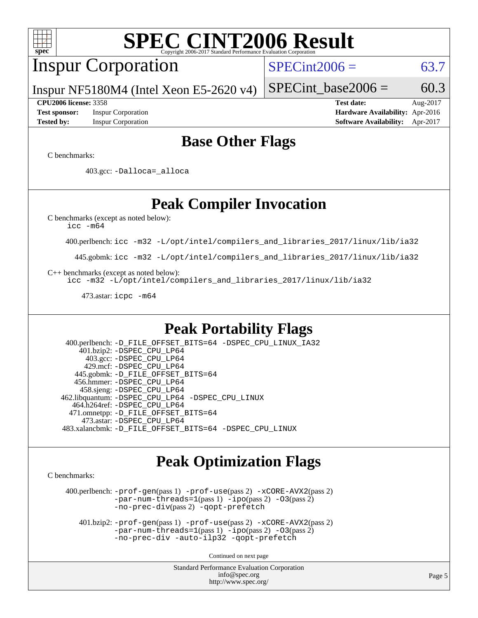# Inspur Corporation

 $SPECint2006 = 63.7$  $SPECint2006 = 63.7$ 

Inspur NF5180M4 (Intel Xeon E5-2620 v4)

**[Tested by:](http://www.spec.org/auto/cpu2006/Docs/result-fields.html#Testedby)** Inspur Corporation **[Software Availability:](http://www.spec.org/auto/cpu2006/Docs/result-fields.html#SoftwareAvailability)** Apr-2017

**[CPU2006 license:](http://www.spec.org/auto/cpu2006/Docs/result-fields.html#CPU2006license)** 3358 **[Test date:](http://www.spec.org/auto/cpu2006/Docs/result-fields.html#Testdate)** Aug-2017 **[Test sponsor:](http://www.spec.org/auto/cpu2006/Docs/result-fields.html#Testsponsor)** Inspur Corporation **[Hardware Availability:](http://www.spec.org/auto/cpu2006/Docs/result-fields.html#HardwareAvailability)** Apr-2016

SPECint base2006 =  $60.3$ 

## **[Base Other Flags](http://www.spec.org/auto/cpu2006/Docs/result-fields.html#BaseOtherFlags)**

[C benchmarks](http://www.spec.org/auto/cpu2006/Docs/result-fields.html#Cbenchmarks):

403.gcc: [-Dalloca=\\_alloca](http://www.spec.org/cpu2006/results/res2017q4/cpu2006-20170911-49332.flags.html#b403.gcc_baseEXTRA_CFLAGS_Dalloca_be3056838c12de2578596ca5467af7f3)

# **[Peak Compiler Invocation](http://www.spec.org/auto/cpu2006/Docs/result-fields.html#PeakCompilerInvocation)**

[C benchmarks \(except as noted below\)](http://www.spec.org/auto/cpu2006/Docs/result-fields.html#Cbenchmarksexceptasnotedbelow):

[icc -m64](http://www.spec.org/cpu2006/results/res2017q4/cpu2006-20170911-49332.flags.html#user_CCpeak_intel_icc_64bit_bda6cc9af1fdbb0edc3795bac97ada53)

400.perlbench: [icc -m32 -L/opt/intel/compilers\\_and\\_libraries\\_2017/linux/lib/ia32](http://www.spec.org/cpu2006/results/res2017q4/cpu2006-20170911-49332.flags.html#user_peakCCLD400_perlbench_intel_icc_c29f3ff5a7ed067b11e4ec10a03f03ae)

445.gobmk: [icc -m32 -L/opt/intel/compilers\\_and\\_libraries\\_2017/linux/lib/ia32](http://www.spec.org/cpu2006/results/res2017q4/cpu2006-20170911-49332.flags.html#user_peakCCLD445_gobmk_intel_icc_c29f3ff5a7ed067b11e4ec10a03f03ae)

[C++ benchmarks \(except as noted below\):](http://www.spec.org/auto/cpu2006/Docs/result-fields.html#CXXbenchmarksexceptasnotedbelow)

[icc -m32 -L/opt/intel/compilers\\_and\\_libraries\\_2017/linux/lib/ia32](http://www.spec.org/cpu2006/results/res2017q4/cpu2006-20170911-49332.flags.html#user_CXXpeak_intel_icc_c29f3ff5a7ed067b11e4ec10a03f03ae)

473.astar: [icpc -m64](http://www.spec.org/cpu2006/results/res2017q4/cpu2006-20170911-49332.flags.html#user_peakCXXLD473_astar_intel_icpc_64bit_fc66a5337ce925472a5c54ad6a0de310)

# **[Peak Portability Flags](http://www.spec.org/auto/cpu2006/Docs/result-fields.html#PeakPortabilityFlags)**

 400.perlbench: [-D\\_FILE\\_OFFSET\\_BITS=64](http://www.spec.org/cpu2006/results/res2017q4/cpu2006-20170911-49332.flags.html#user_peakPORTABILITY400_perlbench_file_offset_bits_64_438cf9856305ebd76870a2c6dc2689ab) [-DSPEC\\_CPU\\_LINUX\\_IA32](http://www.spec.org/cpu2006/results/res2017q4/cpu2006-20170911-49332.flags.html#b400.perlbench_peakCPORTABILITY_DSPEC_CPU_LINUX_IA32) 401.bzip2: [-DSPEC\\_CPU\\_LP64](http://www.spec.org/cpu2006/results/res2017q4/cpu2006-20170911-49332.flags.html#suite_peakPORTABILITY401_bzip2_DSPEC_CPU_LP64) 403.gcc: [-DSPEC\\_CPU\\_LP64](http://www.spec.org/cpu2006/results/res2017q4/cpu2006-20170911-49332.flags.html#suite_peakPORTABILITY403_gcc_DSPEC_CPU_LP64) 429.mcf: [-DSPEC\\_CPU\\_LP64](http://www.spec.org/cpu2006/results/res2017q4/cpu2006-20170911-49332.flags.html#suite_peakPORTABILITY429_mcf_DSPEC_CPU_LP64) 445.gobmk: [-D\\_FILE\\_OFFSET\\_BITS=64](http://www.spec.org/cpu2006/results/res2017q4/cpu2006-20170911-49332.flags.html#user_peakPORTABILITY445_gobmk_file_offset_bits_64_438cf9856305ebd76870a2c6dc2689ab) 456.hmmer: [-DSPEC\\_CPU\\_LP64](http://www.spec.org/cpu2006/results/res2017q4/cpu2006-20170911-49332.flags.html#suite_peakPORTABILITY456_hmmer_DSPEC_CPU_LP64) 458.sjeng: [-DSPEC\\_CPU\\_LP64](http://www.spec.org/cpu2006/results/res2017q4/cpu2006-20170911-49332.flags.html#suite_peakPORTABILITY458_sjeng_DSPEC_CPU_LP64) 462.libquantum: [-DSPEC\\_CPU\\_LP64](http://www.spec.org/cpu2006/results/res2017q4/cpu2006-20170911-49332.flags.html#suite_peakPORTABILITY462_libquantum_DSPEC_CPU_LP64) [-DSPEC\\_CPU\\_LINUX](http://www.spec.org/cpu2006/results/res2017q4/cpu2006-20170911-49332.flags.html#b462.libquantum_peakCPORTABILITY_DSPEC_CPU_LINUX) 464.h264ref: [-DSPEC\\_CPU\\_LP64](http://www.spec.org/cpu2006/results/res2017q4/cpu2006-20170911-49332.flags.html#suite_peakPORTABILITY464_h264ref_DSPEC_CPU_LP64) 471.omnetpp: [-D\\_FILE\\_OFFSET\\_BITS=64](http://www.spec.org/cpu2006/results/res2017q4/cpu2006-20170911-49332.flags.html#user_peakPORTABILITY471_omnetpp_file_offset_bits_64_438cf9856305ebd76870a2c6dc2689ab) 473.astar: [-DSPEC\\_CPU\\_LP64](http://www.spec.org/cpu2006/results/res2017q4/cpu2006-20170911-49332.flags.html#suite_peakPORTABILITY473_astar_DSPEC_CPU_LP64) 483.xalancbmk: [-D\\_FILE\\_OFFSET\\_BITS=64](http://www.spec.org/cpu2006/results/res2017q4/cpu2006-20170911-49332.flags.html#user_peakPORTABILITY483_xalancbmk_file_offset_bits_64_438cf9856305ebd76870a2c6dc2689ab) [-DSPEC\\_CPU\\_LINUX](http://www.spec.org/cpu2006/results/res2017q4/cpu2006-20170911-49332.flags.html#b483.xalancbmk_peakCXXPORTABILITY_DSPEC_CPU_LINUX)

# **[Peak Optimization Flags](http://www.spec.org/auto/cpu2006/Docs/result-fields.html#PeakOptimizationFlags)**

[C benchmarks](http://www.spec.org/auto/cpu2006/Docs/result-fields.html#Cbenchmarks):

 400.perlbench: [-prof-gen](http://www.spec.org/cpu2006/results/res2017q4/cpu2006-20170911-49332.flags.html#user_peakPASS1_CFLAGSPASS1_LDCFLAGS400_perlbench_prof_gen_e43856698f6ca7b7e442dfd80e94a8fc)(pass 1) [-prof-use](http://www.spec.org/cpu2006/results/res2017q4/cpu2006-20170911-49332.flags.html#user_peakPASS2_CFLAGSPASS2_LDCFLAGS400_perlbench_prof_use_bccf7792157ff70d64e32fe3e1250b55)(pass 2) [-xCORE-AVX2](http://www.spec.org/cpu2006/results/res2017q4/cpu2006-20170911-49332.flags.html#user_peakPASS2_CFLAGSPASS2_LDCFLAGS400_perlbench_f-xCORE-AVX2)(pass 2) [-par-num-threads=1](http://www.spec.org/cpu2006/results/res2017q4/cpu2006-20170911-49332.flags.html#user_peakPASS1_CFLAGSPASS1_LDCFLAGS400_perlbench_par_num_threads_786a6ff141b4e9e90432e998842df6c2)(pass 1) [-ipo](http://www.spec.org/cpu2006/results/res2017q4/cpu2006-20170911-49332.flags.html#user_peakPASS2_CFLAGSPASS2_LDCFLAGS400_perlbench_f-ipo)(pass 2) [-O3](http://www.spec.org/cpu2006/results/res2017q4/cpu2006-20170911-49332.flags.html#user_peakPASS2_CFLAGSPASS2_LDCFLAGS400_perlbench_f-O3)(pass 2) [-no-prec-div](http://www.spec.org/cpu2006/results/res2017q4/cpu2006-20170911-49332.flags.html#user_peakPASS2_CFLAGSPASS2_LDCFLAGS400_perlbench_f-no-prec-div)(pass 2) [-qopt-prefetch](http://www.spec.org/cpu2006/results/res2017q4/cpu2006-20170911-49332.flags.html#user_peakCOPTIMIZE400_perlbench_f-qopt-prefetch)

 401.bzip2: [-prof-gen](http://www.spec.org/cpu2006/results/res2017q4/cpu2006-20170911-49332.flags.html#user_peakPASS1_CFLAGSPASS1_LDCFLAGS401_bzip2_prof_gen_e43856698f6ca7b7e442dfd80e94a8fc)(pass 1) [-prof-use](http://www.spec.org/cpu2006/results/res2017q4/cpu2006-20170911-49332.flags.html#user_peakPASS2_CFLAGSPASS2_LDCFLAGS401_bzip2_prof_use_bccf7792157ff70d64e32fe3e1250b55)(pass 2) [-xCORE-AVX2](http://www.spec.org/cpu2006/results/res2017q4/cpu2006-20170911-49332.flags.html#user_peakPASS2_CFLAGSPASS2_LDCFLAGS401_bzip2_f-xCORE-AVX2)(pass 2)  $-par-num-threads=1(pass 1) -ipo(pass 2) -O3(pass 2)$  $-par-num-threads=1(pass 1) -ipo(pass 2) -O3(pass 2)$  $-par-num-threads=1(pass 1) -ipo(pass 2) -O3(pass 2)$  $-par-num-threads=1(pass 1) -ipo(pass 2) -O3(pass 2)$  $-par-num-threads=1(pass 1) -ipo(pass 2) -O3(pass 2)$  $-par-num-threads=1(pass 1) -ipo(pass 2) -O3(pass 2)$ [-no-prec-div](http://www.spec.org/cpu2006/results/res2017q4/cpu2006-20170911-49332.flags.html#user_peakCOPTIMIZEPASS2_CFLAGSPASS2_LDCFLAGS401_bzip2_f-no-prec-div) [-auto-ilp32](http://www.spec.org/cpu2006/results/res2017q4/cpu2006-20170911-49332.flags.html#user_peakCOPTIMIZE401_bzip2_f-auto-ilp32) [-qopt-prefetch](http://www.spec.org/cpu2006/results/res2017q4/cpu2006-20170911-49332.flags.html#user_peakCOPTIMIZE401_bzip2_f-qopt-prefetch)

Continued on next page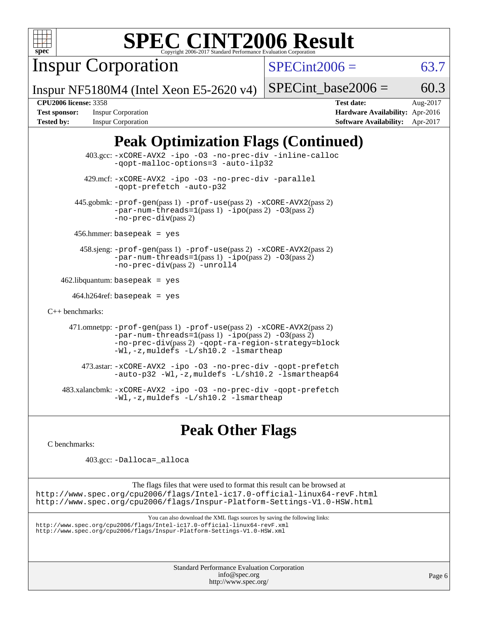

Inspur Corporation

 $SPECint2006 = 63.7$  $SPECint2006 = 63.7$ 

Inspur NF5180M4 (Intel Xeon E5-2620 v4)

SPECint base2006 =  $60.3$ 

**[Tested by:](http://www.spec.org/auto/cpu2006/Docs/result-fields.html#Testedby)** Inspur Corporation **[Software Availability:](http://www.spec.org/auto/cpu2006/Docs/result-fields.html#SoftwareAvailability)** Apr-2017

**[CPU2006 license:](http://www.spec.org/auto/cpu2006/Docs/result-fields.html#CPU2006license)** 3358 **[Test date:](http://www.spec.org/auto/cpu2006/Docs/result-fields.html#Testdate)** Aug-2017 **[Test sponsor:](http://www.spec.org/auto/cpu2006/Docs/result-fields.html#Testsponsor)** Inspur Corporation **[Hardware Availability:](http://www.spec.org/auto/cpu2006/Docs/result-fields.html#HardwareAvailability)** Apr-2016

# **[Peak Optimization Flags \(Continued\)](http://www.spec.org/auto/cpu2006/Docs/result-fields.html#PeakOptimizationFlags)**

 403.gcc: [-xCORE-AVX2](http://www.spec.org/cpu2006/results/res2017q4/cpu2006-20170911-49332.flags.html#user_peakOPTIMIZE403_gcc_f-xCORE-AVX2) [-ipo](http://www.spec.org/cpu2006/results/res2017q4/cpu2006-20170911-49332.flags.html#user_peakOPTIMIZE403_gcc_f-ipo) [-O3](http://www.spec.org/cpu2006/results/res2017q4/cpu2006-20170911-49332.flags.html#user_peakOPTIMIZE403_gcc_f-O3) [-no-prec-div](http://www.spec.org/cpu2006/results/res2017q4/cpu2006-20170911-49332.flags.html#user_peakOPTIMIZE403_gcc_f-no-prec-div) [-inline-calloc](http://www.spec.org/cpu2006/results/res2017q4/cpu2006-20170911-49332.flags.html#user_peakCOPTIMIZE403_gcc_f-inline-calloc) [-qopt-malloc-options=3](http://www.spec.org/cpu2006/results/res2017q4/cpu2006-20170911-49332.flags.html#user_peakCOPTIMIZE403_gcc_f-qopt-malloc-options_0fcb435012e78f27d57f473818e45fe4) [-auto-ilp32](http://www.spec.org/cpu2006/results/res2017q4/cpu2006-20170911-49332.flags.html#user_peakCOPTIMIZE403_gcc_f-auto-ilp32) 429.mcf: [-xCORE-AVX2](http://www.spec.org/cpu2006/results/res2017q4/cpu2006-20170911-49332.flags.html#user_peakOPTIMIZE429_mcf_f-xCORE-AVX2) [-ipo](http://www.spec.org/cpu2006/results/res2017q4/cpu2006-20170911-49332.flags.html#user_peakOPTIMIZE429_mcf_f-ipo) [-O3](http://www.spec.org/cpu2006/results/res2017q4/cpu2006-20170911-49332.flags.html#user_peakOPTIMIZE429_mcf_f-O3) [-no-prec-div](http://www.spec.org/cpu2006/results/res2017q4/cpu2006-20170911-49332.flags.html#user_peakOPTIMIZE429_mcf_f-no-prec-div) [-parallel](http://www.spec.org/cpu2006/results/res2017q4/cpu2006-20170911-49332.flags.html#user_peakCOPTIMIZE429_mcf_f-parallel) [-qopt-prefetch](http://www.spec.org/cpu2006/results/res2017q4/cpu2006-20170911-49332.flags.html#user_peakCOPTIMIZE429_mcf_f-qopt-prefetch) [-auto-p32](http://www.spec.org/cpu2006/results/res2017q4/cpu2006-20170911-49332.flags.html#user_peakCOPTIMIZE429_mcf_f-auto-p32) 445.gobmk: [-prof-gen](http://www.spec.org/cpu2006/results/res2017q4/cpu2006-20170911-49332.flags.html#user_peakPASS1_CFLAGSPASS1_LDCFLAGS445_gobmk_prof_gen_e43856698f6ca7b7e442dfd80e94a8fc)(pass 1) [-prof-use](http://www.spec.org/cpu2006/results/res2017q4/cpu2006-20170911-49332.flags.html#user_peakPASS2_CFLAGSPASS2_LDCFLAGS445_gobmk_prof_use_bccf7792157ff70d64e32fe3e1250b55)(pass 2) [-xCORE-AVX2](http://www.spec.org/cpu2006/results/res2017q4/cpu2006-20170911-49332.flags.html#user_peakPASS2_CFLAGSPASS2_LDCFLAGS445_gobmk_f-xCORE-AVX2)(pass 2)  $-par-num-threads=1(pass 1) -ipo(pass 2) -O3(pass 2)$  $-par-num-threads=1(pass 1) -ipo(pass 2) -O3(pass 2)$  $-par-num-threads=1(pass 1) -ipo(pass 2) -O3(pass 2)$  $-par-num-threads=1(pass 1) -ipo(pass 2) -O3(pass 2)$  $-par-num-threads=1(pass 1) -ipo(pass 2) -O3(pass 2)$  $-par-num-threads=1(pass 1) -ipo(pass 2) -O3(pass 2)$ [-no-prec-div](http://www.spec.org/cpu2006/results/res2017q4/cpu2006-20170911-49332.flags.html#user_peakPASS2_CFLAGSPASS2_LDCFLAGS445_gobmk_f-no-prec-div)(pass 2) 456.hmmer: basepeak = yes 458.sjeng: [-prof-gen](http://www.spec.org/cpu2006/results/res2017q4/cpu2006-20170911-49332.flags.html#user_peakPASS1_CFLAGSPASS1_LDCFLAGS458_sjeng_prof_gen_e43856698f6ca7b7e442dfd80e94a8fc)(pass 1) [-prof-use](http://www.spec.org/cpu2006/results/res2017q4/cpu2006-20170911-49332.flags.html#user_peakPASS2_CFLAGSPASS2_LDCFLAGS458_sjeng_prof_use_bccf7792157ff70d64e32fe3e1250b55)(pass 2) [-xCORE-AVX2](http://www.spec.org/cpu2006/results/res2017q4/cpu2006-20170911-49332.flags.html#user_peakPASS2_CFLAGSPASS2_LDCFLAGS458_sjeng_f-xCORE-AVX2)(pass 2) [-par-num-threads=1](http://www.spec.org/cpu2006/results/res2017q4/cpu2006-20170911-49332.flags.html#user_peakPASS1_CFLAGSPASS1_LDCFLAGS458_sjeng_par_num_threads_786a6ff141b4e9e90432e998842df6c2)(pass 1) [-ipo](http://www.spec.org/cpu2006/results/res2017q4/cpu2006-20170911-49332.flags.html#user_peakPASS2_CFLAGSPASS2_LDCFLAGS458_sjeng_f-ipo)(pass 2) [-O3](http://www.spec.org/cpu2006/results/res2017q4/cpu2006-20170911-49332.flags.html#user_peakPASS2_CFLAGSPASS2_LDCFLAGS458_sjeng_f-O3)(pass 2) [-no-prec-div](http://www.spec.org/cpu2006/results/res2017q4/cpu2006-20170911-49332.flags.html#user_peakPASS2_CFLAGSPASS2_LDCFLAGS458_sjeng_f-no-prec-div)(pass 2) [-unroll4](http://www.spec.org/cpu2006/results/res2017q4/cpu2006-20170911-49332.flags.html#user_peakCOPTIMIZE458_sjeng_f-unroll_4e5e4ed65b7fd20bdcd365bec371b81f)  $462$ .libquantum: basepeak = yes  $464.h264$ ref: basepeak = yes

[C++ benchmarks:](http://www.spec.org/auto/cpu2006/Docs/result-fields.html#CXXbenchmarks)

 471.omnetpp: [-prof-gen](http://www.spec.org/cpu2006/results/res2017q4/cpu2006-20170911-49332.flags.html#user_peakPASS1_CXXFLAGSPASS1_LDCXXFLAGS471_omnetpp_prof_gen_e43856698f6ca7b7e442dfd80e94a8fc)(pass 1) [-prof-use](http://www.spec.org/cpu2006/results/res2017q4/cpu2006-20170911-49332.flags.html#user_peakPASS2_CXXFLAGSPASS2_LDCXXFLAGS471_omnetpp_prof_use_bccf7792157ff70d64e32fe3e1250b55)(pass 2) [-xCORE-AVX2](http://www.spec.org/cpu2006/results/res2017q4/cpu2006-20170911-49332.flags.html#user_peakPASS2_CXXFLAGSPASS2_LDCXXFLAGS471_omnetpp_f-xCORE-AVX2)(pass 2)  $-par-num-threads=1(pass 1) -ipo(pass 2) -O3(pass 2)$  $-par-num-threads=1(pass 1) -ipo(pass 2) -O3(pass 2)$  $-par-num-threads=1(pass 1) -ipo(pass 2) -O3(pass 2)$  $-par-num-threads=1(pass 1) -ipo(pass 2) -O3(pass 2)$  $-par-num-threads=1(pass 1) -ipo(pass 2) -O3(pass 2)$  $-par-num-threads=1(pass 1) -ipo(pass 2) -O3(pass 2)$ [-no-prec-div](http://www.spec.org/cpu2006/results/res2017q4/cpu2006-20170911-49332.flags.html#user_peakPASS2_CXXFLAGSPASS2_LDCXXFLAGS471_omnetpp_f-no-prec-div)(pass 2) [-qopt-ra-region-strategy=block](http://www.spec.org/cpu2006/results/res2017q4/cpu2006-20170911-49332.flags.html#user_peakCXXOPTIMIZE471_omnetpp_f-qopt-ra-region-strategy_0f7b543d62da454b380160c0e3b28f94) [-Wl,-z,muldefs](http://www.spec.org/cpu2006/results/res2017q4/cpu2006-20170911-49332.flags.html#user_peakEXTRA_LDFLAGS471_omnetpp_link_force_multiple1_74079c344b956b9658436fd1b6dd3a8a) [-L/sh10.2 -lsmartheap](http://www.spec.org/cpu2006/results/res2017q4/cpu2006-20170911-49332.flags.html#user_peakEXTRA_LIBS471_omnetpp_SmartHeap_b831f2d313e2fffa6dfe3f00ffc1f1c0)

 473.astar: [-xCORE-AVX2](http://www.spec.org/cpu2006/results/res2017q4/cpu2006-20170911-49332.flags.html#user_peakOPTIMIZE473_astar_f-xCORE-AVX2) [-ipo](http://www.spec.org/cpu2006/results/res2017q4/cpu2006-20170911-49332.flags.html#user_peakOPTIMIZE473_astar_f-ipo) [-O3](http://www.spec.org/cpu2006/results/res2017q4/cpu2006-20170911-49332.flags.html#user_peakOPTIMIZE473_astar_f-O3) [-no-prec-div](http://www.spec.org/cpu2006/results/res2017q4/cpu2006-20170911-49332.flags.html#user_peakOPTIMIZE473_astar_f-no-prec-div) [-qopt-prefetch](http://www.spec.org/cpu2006/results/res2017q4/cpu2006-20170911-49332.flags.html#user_peakCXXOPTIMIZE473_astar_f-qopt-prefetch) [-auto-p32](http://www.spec.org/cpu2006/results/res2017q4/cpu2006-20170911-49332.flags.html#user_peakCXXOPTIMIZE473_astar_f-auto-p32) [-Wl,-z,muldefs](http://www.spec.org/cpu2006/results/res2017q4/cpu2006-20170911-49332.flags.html#user_peakEXTRA_LDFLAGS473_astar_link_force_multiple1_74079c344b956b9658436fd1b6dd3a8a) [-L/sh10.2 -lsmartheap64](http://www.spec.org/cpu2006/results/res2017q4/cpu2006-20170911-49332.flags.html#user_peakEXTRA_LIBS473_astar_SmartHeap64_63911d860fc08c15fa1d5bf319b9d8d5)

 483.xalancbmk: [-xCORE-AVX2](http://www.spec.org/cpu2006/results/res2017q4/cpu2006-20170911-49332.flags.html#user_peakOPTIMIZE483_xalancbmk_f-xCORE-AVX2) [-ipo](http://www.spec.org/cpu2006/results/res2017q4/cpu2006-20170911-49332.flags.html#user_peakOPTIMIZE483_xalancbmk_f-ipo) [-O3](http://www.spec.org/cpu2006/results/res2017q4/cpu2006-20170911-49332.flags.html#user_peakOPTIMIZE483_xalancbmk_f-O3) [-no-prec-div](http://www.spec.org/cpu2006/results/res2017q4/cpu2006-20170911-49332.flags.html#user_peakOPTIMIZE483_xalancbmk_f-no-prec-div) [-qopt-prefetch](http://www.spec.org/cpu2006/results/res2017q4/cpu2006-20170911-49332.flags.html#user_peakCXXOPTIMIZE483_xalancbmk_f-qopt-prefetch) [-Wl,-z,muldefs](http://www.spec.org/cpu2006/results/res2017q4/cpu2006-20170911-49332.flags.html#user_peakEXTRA_LDFLAGS483_xalancbmk_link_force_multiple1_74079c344b956b9658436fd1b6dd3a8a) [-L/sh10.2 -lsmartheap](http://www.spec.org/cpu2006/results/res2017q4/cpu2006-20170911-49332.flags.html#user_peakEXTRA_LIBS483_xalancbmk_SmartHeap_b831f2d313e2fffa6dfe3f00ffc1f1c0)

# **[Peak Other Flags](http://www.spec.org/auto/cpu2006/Docs/result-fields.html#PeakOtherFlags)**

[C benchmarks](http://www.spec.org/auto/cpu2006/Docs/result-fields.html#Cbenchmarks):

403.gcc: [-Dalloca=\\_alloca](http://www.spec.org/cpu2006/results/res2017q4/cpu2006-20170911-49332.flags.html#b403.gcc_peakEXTRA_CFLAGS_Dalloca_be3056838c12de2578596ca5467af7f3)

The flags files that were used to format this result can be browsed at <http://www.spec.org/cpu2006/flags/Intel-ic17.0-official-linux64-revF.html> <http://www.spec.org/cpu2006/flags/Inspur-Platform-Settings-V1.0-HSW.html>

You can also download the XML flags sources by saving the following links:

<http://www.spec.org/cpu2006/flags/Intel-ic17.0-official-linux64-revF.xml>

<http://www.spec.org/cpu2006/flags/Inspur-Platform-Settings-V1.0-HSW.xml>